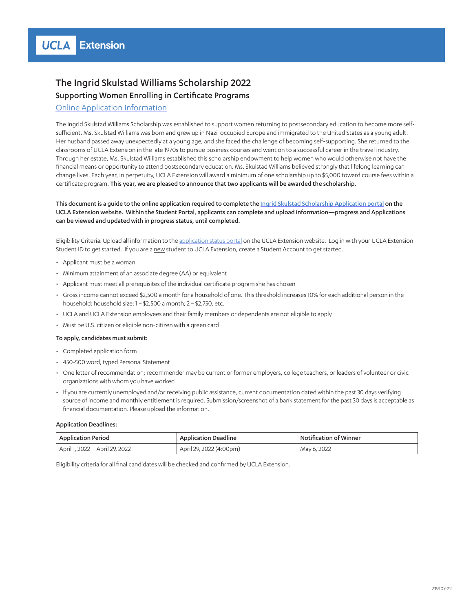## The Ingrid Skulstad Williams Scholarship 2022 Supporting Women Enrolling in Certificate Programs

### [Online Application Information](https://portal.uclaextension.edu/portal/applications/applicationProfile.do?showinternal=true&method=loadApplicationIndex&applicationProfileId=941661158)

The Ingrid Skulstad Williams Scholarship was established to support women returning to postsecondary education to become more selfsufficient. Ms. Skulstad Williams was born and grew up in Nazi-occupied Europe and immigrated to the United States as a young adult. Her husband passed away unexpectedly at a young age, and she faced the challenge of becoming self-supporting. She returned to the classrooms of UCLA Extension in the late 1970s to pursue business courses and went on to a successful career in the travel industry. Through her estate, Ms. Skulstad Williams established this scholarship endowment to help women who would otherwise not have the financial means or opportunity to attend postsecondary education. Ms. Skulstad Williams believed strongly that lifelong learning can change lives. Each year, in perpetuity, UCLA Extension will award a minimum of one scholarship up to \$5,000 toward course fees within a certificate program. This year, we are pleased to announce that two applicants will be awarded the scholarship.

This document is a guide to the online application required to complete the [Ingrid Skulstad Scholarship Application portal](https://portal.uclaextension.edu/portal/applications/applicationProfile.do?showinternal=true&method=loadApplicationIndex&applicationProfileId=941661158) on the UCLA Extension website. Within the Student Portal, applicants can complete and upload information—progress and Applications can be viewed and updated with in progress status, until completed.

Eligibility Criteria: Upload all information to the [application status portal](https://portal.uclaextension.edu/portal/applications/applicationProfile.do?showinternal=true&method=loadApplicationIndex&applicationProfileId=941661158) on the UCLA Extension website. Log in with your UCLA Extension Student ID to get started. If you are a new student to UCLA Extension, create a Student Account to get started.

- Applicant must be a woman
- Minimum attainment of an associate degree (AA) or equivalent
- Applicant must meet all prerequisites of the individual certificate program she has chosen
- Gross income cannot exceed \$2,500 a month for a household of one. This threshold increases 10% for each additional person in the household: household size: 1 = \$2,500 a month; 2 = \$2,750, etc.
- UCLA and UCLA Extension employees and their family members or dependents are not eligible to apply
- Must be U.S. citizen or eligible non-citizen with a green card

#### To apply, candidates must submit:

- Completed application form
- 450-500 word, typed Personal Statement
- One letter of recommendation; recommender may be current or former employers, college teachers, or leaders of volunteer or civic organizations with whom you have worked
- If you are currently unemployed and/or receiving public assistance, current documentation dated within the past 30 days verifying source of income and monthly entitlement is required. Submission/screenshot of a bank statement for the past 30 days is acceptable as financial documentation. Please upload the information.

#### Application Deadlines:

| Application Period             | Application Deadline    | Notification of Winner |
|--------------------------------|-------------------------|------------------------|
| April 1, 2022 – April 29, 2022 | April 29, 2022 (4:00pm) | May 6, 2022            |

Eligibility criteria for all final candidates will be checked and confirmed by UCLA Extension.